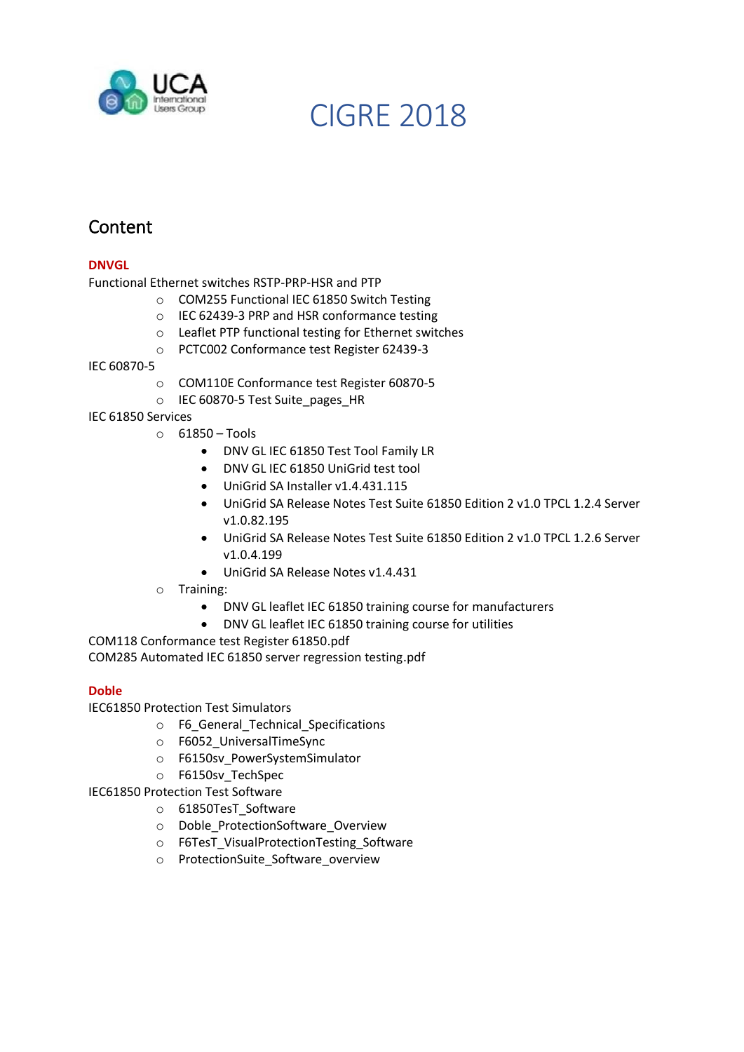

# **Content**

# **DNVGL**

Functional Ethernet switches RSTP-PRP-HSR and PTP

- o COM255 Functional IEC 61850 Switch Testing
- o IEC 62439-3 PRP and HSR conformance testing
- o Leaflet PTP functional testing for Ethernet switches
- o PCTC002 Conformance test Register 62439-3

IEC 60870-5

- o COM110E Conformance test Register 60870-5
- o IEC 60870-5 Test Suite\_pages\_HR

# IEC 61850 Services

- o 61850 Tools
	- DNV GL IEC 61850 Test Tool Family LR
	- DNV GL IEC 61850 UniGrid test tool
	- UniGrid SA Installer v1.4.431.115
	- UniGrid SA Release Notes Test Suite 61850 Edition 2 v1.0 TPCL 1.2.4 Server v1.0.82.195
	- UniGrid SA Release Notes Test Suite 61850 Edition 2 v1.0 TPCL 1.2.6 Server v1.0.4.199
	- UniGrid SA Release Notes v1.4.431
- o Training:
	- DNV GL leaflet IEC 61850 training course for manufacturers
	- DNV GL leaflet IEC 61850 training course for utilities

COM118 Conformance test Register 61850.pdf COM285 Automated IEC 61850 server regression testing.pdf

# **Doble**

IEC61850 Protection Test Simulators

- o F6\_General\_Technical\_Specifications
- o F6052\_UniversalTimeSync
- o F6150sv\_PowerSystemSimulator
- o F6150sv\_TechSpec

IEC61850 Protection Test Software

- o 61850TesT\_Software
- o Doble\_ProtectionSoftware\_Overview
- o F6TesT\_VisualProtectionTesting\_Software
- o ProtectionSuite\_Software\_overview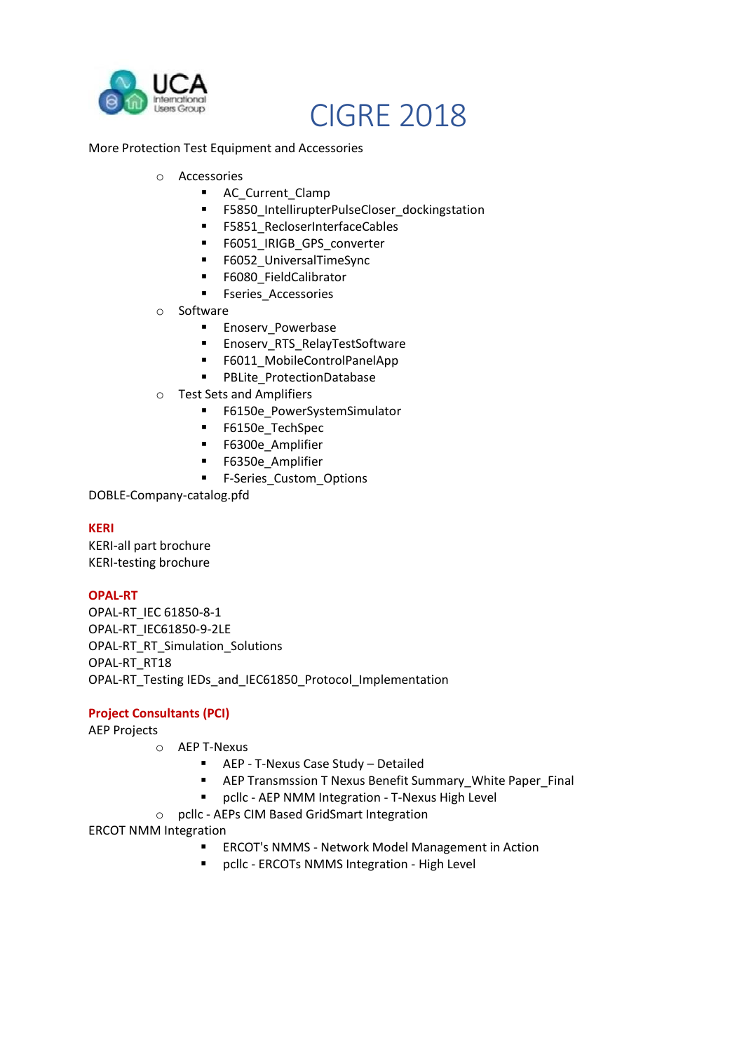

# More Protection Test Equipment and Accessories

- o Accessories
	- AC\_Current\_Clamp
	- **■** F5850\_IntellirupterPulseCloser\_dockingstation
	- F5851 RecloserInterfaceCables
	- **■** F6051\_IRIGB\_GPS\_converter
	- F6052 UniversalTimeSync
	- F6080 FieldCalibrator
	- **■** Fseries Accessories
- o Software
	- **Enoserv Powerbase**
	- **Enoserv RTS RelayTestSoftware**
	- F6011\_MobileControlPanelApp
	- PBLite\_ProtectionDatabase
- o Test Sets and Amplifiers
	- F6150e\_PowerSystemSimulator
	- F6150e\_TechSpec
	- **■** F6300e Amplifier
	- **■** F6350e Amplifier
	- **■** F-Series Custom Options

DOBLE-Company-catalog.pfd

# **KERI**

KERI-all part brochure KERI-testing brochure

# **OPAL-RT**

OPAL-RT\_IEC 61850-8-1 OPAL-RT\_IEC61850-9-2LE OPAL-RT\_RT\_Simulation\_Solutions OPAL-RT\_RT18 OPAL-RT\_Testing IEDs\_and\_IEC61850\_Protocol\_Implementation

# **Project Consultants (PCI)**

AEP Projects

- o AEP T-Nexus
	- AEP T-Nexus Case Study Detailed
	- AEP Transmssion T Nexus Benefit Summary\_White Paper\_Final
	- pcllc AEP NMM Integration T-Nexus High Level
- o pcllc AEPs CIM Based GridSmart Integration

# ERCOT NMM Integration

- ERCOT's NMMS Network Model Management in Action
- pcllc ERCOTs NMMS Integration High Level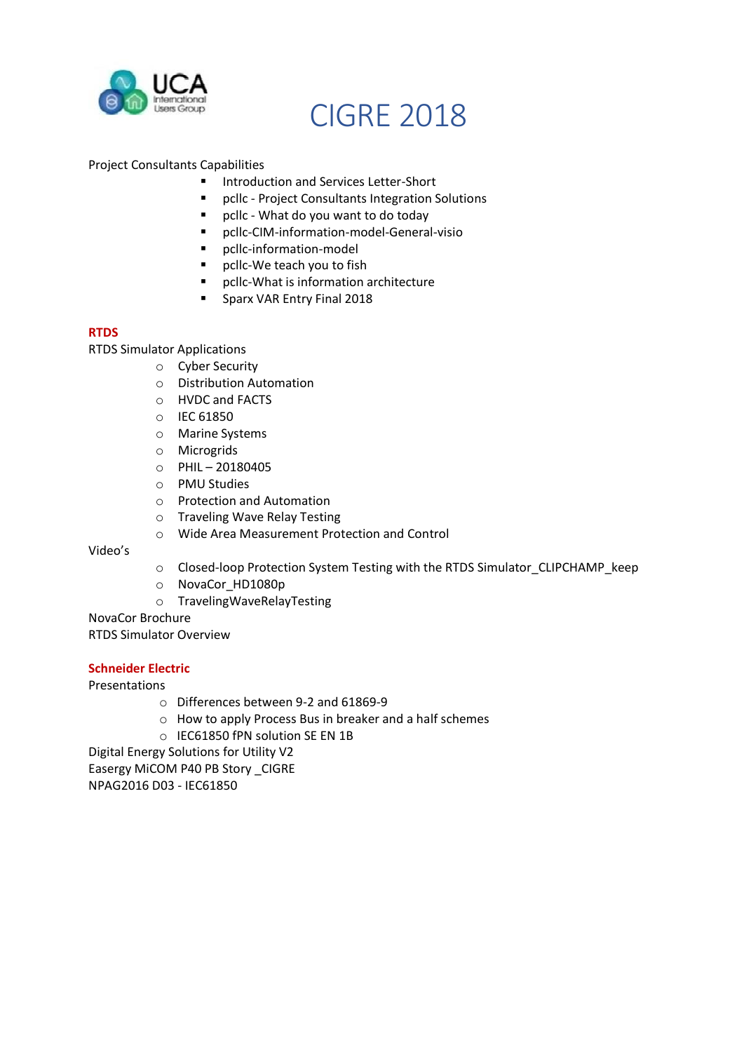

# Project Consultants Capabilities

- Introduction and Services Letter-Short
- pcllc Project Consultants Integration Solutions
- pcllc What do you want to do today
- pcllc-CIM-information-model-General-visio
- pcllc-information-model
- pcllc-We teach you to fish
- pcllc-What is information architecture
- **E** Sparx VAR Entry Final 2018

#### **RTDS**

RTDS Simulator Applications

- o Cyber Security
	- o Distribution Automation
	- o HVDC and FACTS
	- o IEC 61850
	- o Marine Systems
	- o Microgrids
	- o PHIL 20180405
	- o PMU Studies
	- o Protection and Automation
	- o Traveling Wave Relay Testing
	- o Wide Area Measurement Protection and Control

Video's

- o Closed-loop Protection System Testing with the RTDS Simulator\_CLIPCHAMP\_keep
- o NovaCor\_HD1080p
- o TravelingWaveRelayTesting

NovaCor Brochure

RTDS Simulator Overview

#### **Schneider Electric**

Presentations

- o Differences between 9-2 and 61869-9
- $\circ$  How to apply Process Bus in breaker and a half schemes
- o IEC61850 fPN solution SE EN 1B

Digital Energy Solutions for Utility V2 Easergy MiCOM P40 PB Story \_CIGRE NPAG2016 D03 - IEC61850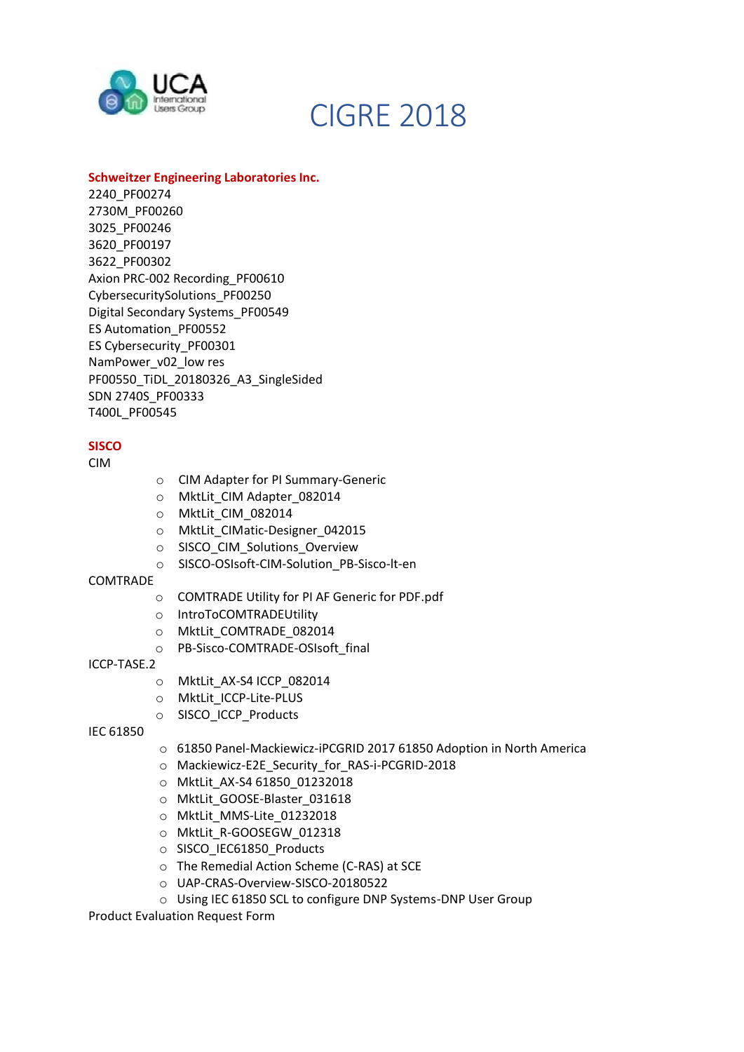

# **Schweitzer Engineering Laboratories Inc.**

2240\_PF00274 2730M\_PF00260 3025\_PF00246 3620\_PF00197 3622\_PF00302 Axion PRC-002 Recording\_PF00610 CybersecuritySolutions\_PF00250 Digital Secondary Systems\_PF00549 ES Automation\_PF00552 ES Cybersecurity\_PF00301 NamPower\_v02\_low res PF00550\_TiDL\_20180326\_A3\_SingleSided SDN 2740S\_PF00333 T400L\_PF00545

# **SISCO**

CIM

- o CIM Adapter for PI Summary-Generic
- o MktLit CIM Adapter 082014
- o MktLit\_CIM\_082014
- o MktLit\_CIMatic-Designer\_042015
- o SISCO\_CIM\_Solutions\_Overview
- o SISCO-OSIsoft-CIM-Solution\_PB-Sisco-lt-en

# COMTRADE

- o COMTRADE Utility for PI AF Generic for PDF.pdf
- o IntroToCOMTRADEUtility
- o MktLit\_COMTRADE\_082014
- o PB-Sisco-COMTRADE-OSIsoft\_final

# ICCP-TASE.2

- o MktLit\_AX-S4 ICCP\_082014
- o MktLit\_ICCP-Lite-PLUS
- o SISCO\_ICCP\_Products

# IEC 61850

- o 61850 Panel-Mackiewicz-iPCGRID 2017 61850 Adoption in North America
- o Mackiewicz-E2E\_Security\_for\_RAS-i-PCGRID-2018
- o MktLit\_AX-S4 61850\_01232018
- o MktLit GOOSE-Blaster 031618
- o MktLit\_MMS-Lite\_01232018
- o MktLit\_R-GOOSEGW\_012318
- o SISCO\_IEC61850\_Products
- o The Remedial Action Scheme (C-RAS) at SCE
- o UAP-CRAS-Overview-SISCO-20180522
- o Using IEC 61850 SCL to configure DNP Systems-DNP User Group

Product Evaluation Request Form